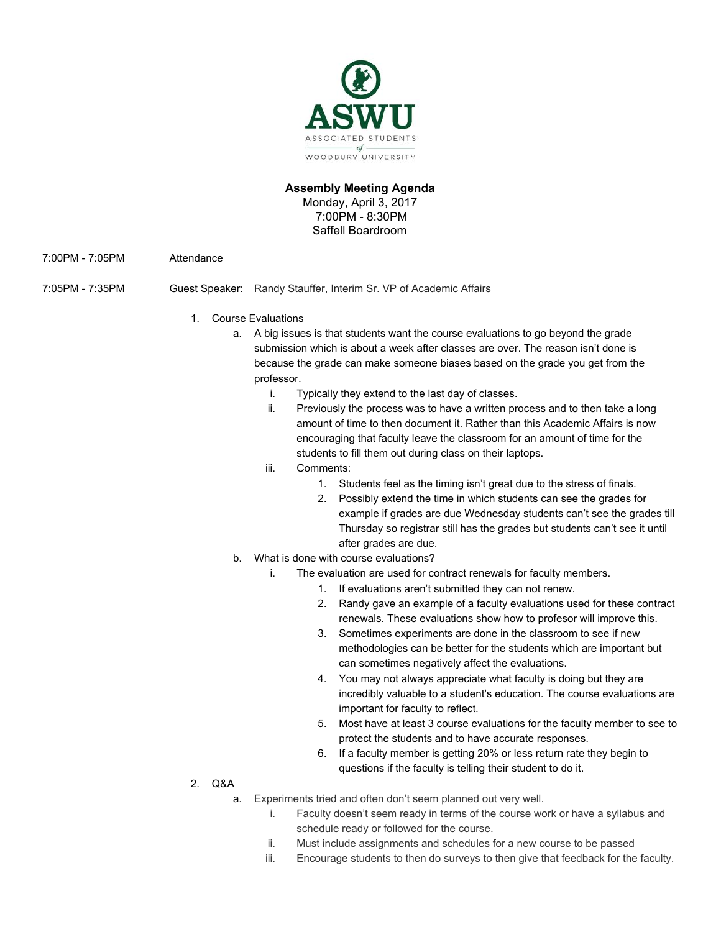

## **Assembly Meeting Agenda**

Monday, April 3, 2017 7:00PM - 8:30PM Saffell Boardroom

7:00PM - 7:05PM Attendance

- 7:05PM 7:35PM Guest Speaker: Randy Stauffer, Interim Sr. VP of Academic Affairs
	- 1. Course Evaluations
		- a. A big issues is that students want the course evaluations to go beyond the grade submission which is about a week after classes are over. The reason isn't done is because the grade can make someone biases based on the grade you get from the professor.
			- i. Typically they extend to the last day of classes.
			- ii. Previously the process was to have a written process and to then take a long amount of time to then document it. Rather than this Academic Affairs is now encouraging that faculty leave the classroom for an amount of time for the students to fill them out during class on their laptops.
			- iii. Comments:
				- 1. Students feel as the timing isn't great due to the stress of finals.
				- 2. Possibly extend the time in which students can see the grades for example if grades are due Wednesday students can't see the grades till Thursday so registrar still has the grades but students can't see it until after grades are due.
		- b. What is done with course evaluations?
			- i. The evaluation are used for contract renewals for faculty members.
				- 1. If evaluations aren't submitted they can not renew.
				- 2. Randy gave an example of a faculty evaluations used for these contract renewals. These evaluations show how to profesor will improve this.
				- 3. Sometimes experiments are done in the classroom to see if new methodologies can be better for the students which are important but can sometimes negatively affect the evaluations.
				- 4. You may not always appreciate what faculty is doing but they are incredibly valuable to a student's education. The course evaluations are important for faculty to reflect.
				- 5. Most have at least 3 course evaluations for the faculty member to see to protect the students and to have accurate responses.
				- 6. If a faculty member is getting 20% or less return rate they begin to questions if the faculty is telling their student to do it.
	- 2. Q&A
		- a. Experiments tried and often don't seem planned out very well.
			- i. Faculty doesn't seem ready in terms of the course work or have a syllabus and schedule ready or followed for the course.
			- ii. Must include assignments and schedules for a new course to be passed
			- iii. Encourage students to then do surveys to then give that feedback for the faculty.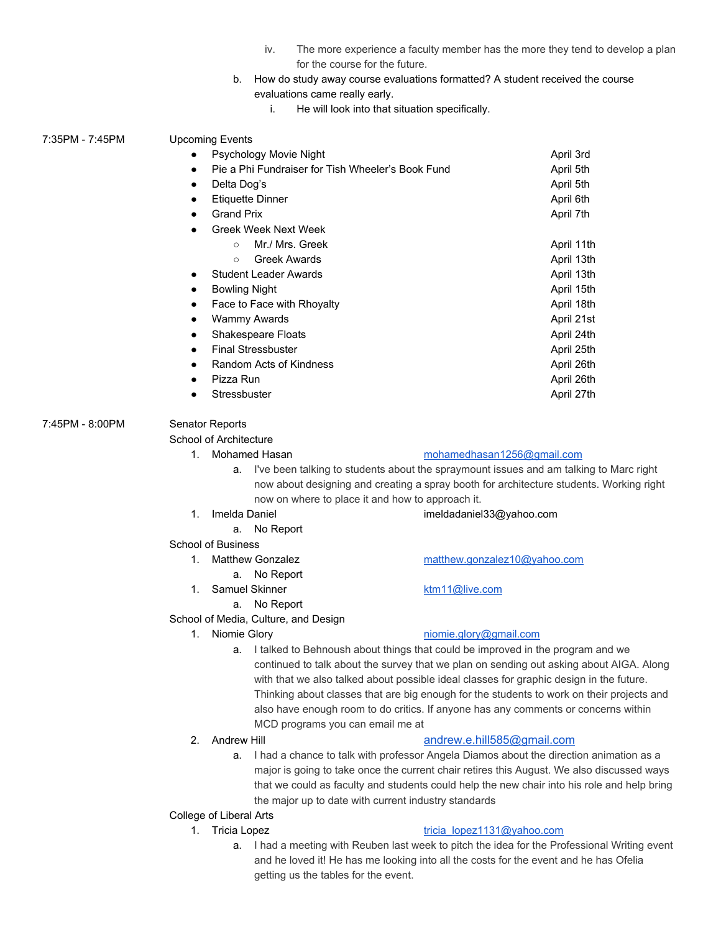- iv. The more experience a faculty member has the more they tend to develop a plan for the course for the future.
- b. How do study away course evaluations formatted? A student received the course evaluations came really early.
	- i. He will look into that situation specifically.

| Psychology Movie Night                                                                                                                                                                                                                           |              |                                                                                                                                                                                                                                                             | April 3rd                                                                                                                                                                                                                                                                                                                                                                                                                                                                                                                                                                                                                                                                                        |  |
|--------------------------------------------------------------------------------------------------------------------------------------------------------------------------------------------------------------------------------------------------|--------------|-------------------------------------------------------------------------------------------------------------------------------------------------------------------------------------------------------------------------------------------------------------|--------------------------------------------------------------------------------------------------------------------------------------------------------------------------------------------------------------------------------------------------------------------------------------------------------------------------------------------------------------------------------------------------------------------------------------------------------------------------------------------------------------------------------------------------------------------------------------------------------------------------------------------------------------------------------------------------|--|
| Pie a Phi Fundraiser for Tish Wheeler's Book Fund                                                                                                                                                                                                |              |                                                                                                                                                                                                                                                             | April 5th                                                                                                                                                                                                                                                                                                                                                                                                                                                                                                                                                                                                                                                                                        |  |
| Delta Dog's                                                                                                                                                                                                                                      |              |                                                                                                                                                                                                                                                             | April 5th                                                                                                                                                                                                                                                                                                                                                                                                                                                                                                                                                                                                                                                                                        |  |
| <b>Etiquette Dinner</b>                                                                                                                                                                                                                          |              |                                                                                                                                                                                                                                                             | April 6th                                                                                                                                                                                                                                                                                                                                                                                                                                                                                                                                                                                                                                                                                        |  |
| <b>Grand Prix</b>                                                                                                                                                                                                                                |              |                                                                                                                                                                                                                                                             | April 7th                                                                                                                                                                                                                                                                                                                                                                                                                                                                                                                                                                                                                                                                                        |  |
| Greek Week Next Week                                                                                                                                                                                                                             |              |                                                                                                                                                                                                                                                             |                                                                                                                                                                                                                                                                                                                                                                                                                                                                                                                                                                                                                                                                                                  |  |
|                                                                                                                                                                                                                                                  | $\circ$      |                                                                                                                                                                                                                                                             | April 11th                                                                                                                                                                                                                                                                                                                                                                                                                                                                                                                                                                                                                                                                                       |  |
| <b>Greek Awards</b><br>$\circ$<br>Student Leader Awards<br><b>Bowling Night</b><br>٠<br>Face to Face with Rhoyalty<br><b>Wammy Awards</b><br>$\bullet$<br>Shakespeare Floats                                                                     |              |                                                                                                                                                                                                                                                             | April 13th                                                                                                                                                                                                                                                                                                                                                                                                                                                                                                                                                                                                                                                                                       |  |
|                                                                                                                                                                                                                                                  |              |                                                                                                                                                                                                                                                             | April 13th                                                                                                                                                                                                                                                                                                                                                                                                                                                                                                                                                                                                                                                                                       |  |
|                                                                                                                                                                                                                                                  |              |                                                                                                                                                                                                                                                             | April 15th                                                                                                                                                                                                                                                                                                                                                                                                                                                                                                                                                                                                                                                                                       |  |
|                                                                                                                                                                                                                                                  |              |                                                                                                                                                                                                                                                             | April 18th                                                                                                                                                                                                                                                                                                                                                                                                                                                                                                                                                                                                                                                                                       |  |
|                                                                                                                                                                                                                                                  |              |                                                                                                                                                                                                                                                             | April 21st                                                                                                                                                                                                                                                                                                                                                                                                                                                                                                                                                                                                                                                                                       |  |
|                                                                                                                                                                                                                                                  |              |                                                                                                                                                                                                                                                             | April 24th                                                                                                                                                                                                                                                                                                                                                                                                                                                                                                                                                                                                                                                                                       |  |
| <b>Final Stressbuster</b><br>$\bullet$                                                                                                                                                                                                           |              |                                                                                                                                                                                                                                                             | April 25th                                                                                                                                                                                                                                                                                                                                                                                                                                                                                                                                                                                                                                                                                       |  |
|                                                                                                                                                                                                                                                  |              |                                                                                                                                                                                                                                                             | April 26th                                                                                                                                                                                                                                                                                                                                                                                                                                                                                                                                                                                                                                                                                       |  |
| Pizza Run                                                                                                                                                                                                                                        |              |                                                                                                                                                                                                                                                             | April 26th                                                                                                                                                                                                                                                                                                                                                                                                                                                                                                                                                                                                                                                                                       |  |
|                                                                                                                                                                                                                                                  | Stressbuster |                                                                                                                                                                                                                                                             | April 27th                                                                                                                                                                                                                                                                                                                                                                                                                                                                                                                                                                                                                                                                                       |  |
|                                                                                                                                                                                                                                                  |              |                                                                                                                                                                                                                                                             |                                                                                                                                                                                                                                                                                                                                                                                                                                                                                                                                                                                                                                                                                                  |  |
|                                                                                                                                                                                                                                                  |              |                                                                                                                                                                                                                                                             |                                                                                                                                                                                                                                                                                                                                                                                                                                                                                                                                                                                                                                                                                                  |  |
|                                                                                                                                                                                                                                                  |              |                                                                                                                                                                                                                                                             |                                                                                                                                                                                                                                                                                                                                                                                                                                                                                                                                                                                                                                                                                                  |  |
|                                                                                                                                                                                                                                                  |              |                                                                                                                                                                                                                                                             |                                                                                                                                                                                                                                                                                                                                                                                                                                                                                                                                                                                                                                                                                                  |  |
| a. I've been talking to students about the spraymount issues and am talking to Marc right                                                                                                                                                        |              |                                                                                                                                                                                                                                                             |                                                                                                                                                                                                                                                                                                                                                                                                                                                                                                                                                                                                                                                                                                  |  |
| now about designing and creating a spray booth for architecture students. Working right                                                                                                                                                          |              |                                                                                                                                                                                                                                                             |                                                                                                                                                                                                                                                                                                                                                                                                                                                                                                                                                                                                                                                                                                  |  |
|                                                                                                                                                                                                                                                  |              |                                                                                                                                                                                                                                                             |                                                                                                                                                                                                                                                                                                                                                                                                                                                                                                                                                                                                                                                                                                  |  |
|                                                                                                                                                                                                                                                  |              |                                                                                                                                                                                                                                                             |                                                                                                                                                                                                                                                                                                                                                                                                                                                                                                                                                                                                                                                                                                  |  |
|                                                                                                                                                                                                                                                  |              |                                                                                                                                                                                                                                                             |                                                                                                                                                                                                                                                                                                                                                                                                                                                                                                                                                                                                                                                                                                  |  |
|                                                                                                                                                                                                                                                  |              |                                                                                                                                                                                                                                                             |                                                                                                                                                                                                                                                                                                                                                                                                                                                                                                                                                                                                                                                                                                  |  |
|                                                                                                                                                                                                                                                  |              |                                                                                                                                                                                                                                                             |                                                                                                                                                                                                                                                                                                                                                                                                                                                                                                                                                                                                                                                                                                  |  |
|                                                                                                                                                                                                                                                  |              |                                                                                                                                                                                                                                                             |                                                                                                                                                                                                                                                                                                                                                                                                                                                                                                                                                                                                                                                                                                  |  |
|                                                                                                                                                                                                                                                  |              |                                                                                                                                                                                                                                                             |                                                                                                                                                                                                                                                                                                                                                                                                                                                                                                                                                                                                                                                                                                  |  |
|                                                                                                                                                                                                                                                  |              |                                                                                                                                                                                                                                                             |                                                                                                                                                                                                                                                                                                                                                                                                                                                                                                                                                                                                                                                                                                  |  |
|                                                                                                                                                                                                                                                  |              |                                                                                                                                                                                                                                                             |                                                                                                                                                                                                                                                                                                                                                                                                                                                                                                                                                                                                                                                                                                  |  |
|                                                                                                                                                                                                                                                  |              |                                                                                                                                                                                                                                                             |                                                                                                                                                                                                                                                                                                                                                                                                                                                                                                                                                                                                                                                                                                  |  |
|                                                                                                                                                                                                                                                  |              |                                                                                                                                                                                                                                                             |                                                                                                                                                                                                                                                                                                                                                                                                                                                                                                                                                                                                                                                                                                  |  |
| with that we also talked about possible ideal classes for graphic design in the future.                                                                                                                                                          |              |                                                                                                                                                                                                                                                             |                                                                                                                                                                                                                                                                                                                                                                                                                                                                                                                                                                                                                                                                                                  |  |
|                                                                                                                                                                                                                                                  |              |                                                                                                                                                                                                                                                             |                                                                                                                                                                                                                                                                                                                                                                                                                                                                                                                                                                                                                                                                                                  |  |
|                                                                                                                                                                                                                                                  |              |                                                                                                                                                                                                                                                             | Thinking about classes that are big enough for the students to work on their projects and                                                                                                                                                                                                                                                                                                                                                                                                                                                                                                                                                                                                        |  |
|                                                                                                                                                                                                                                                  |              | also have enough room to do critics. If anyone has any comments or concerns within                                                                                                                                                                          |                                                                                                                                                                                                                                                                                                                                                                                                                                                                                                                                                                                                                                                                                                  |  |
|                                                                                                                                                                                                                                                  |              |                                                                                                                                                                                                                                                             |                                                                                                                                                                                                                                                                                                                                                                                                                                                                                                                                                                                                                                                                                                  |  |
| 2.                                                                                                                                                                                                                                               | Andrew Hill  |                                                                                                                                                                                                                                                             |                                                                                                                                                                                                                                                                                                                                                                                                                                                                                                                                                                                                                                                                                                  |  |
|                                                                                                                                                                                                                                                  | a.           |                                                                                                                                                                                                                                                             |                                                                                                                                                                                                                                                                                                                                                                                                                                                                                                                                                                                                                                                                                                  |  |
| major is going to take once the current chair retires this August. We also discussed ways<br>that we could as faculty and students could help the new chair into his role and help bring<br>the major up to date with current industry standards |              |                                                                                                                                                                                                                                                             |                                                                                                                                                                                                                                                                                                                                                                                                                                                                                                                                                                                                                                                                                                  |  |
|                                                                                                                                                                                                                                                  |              |                                                                                                                                                                                                                                                             |                                                                                                                                                                                                                                                                                                                                                                                                                                                                                                                                                                                                                                                                                                  |  |
|                                                                                                                                                                                                                                                  |              |                                                                                                                                                                                                                                                             |                                                                                                                                                                                                                                                                                                                                                                                                                                                                                                                                                                                                                                                                                                  |  |
|                                                                                                                                                                                                                                                  |              |                                                                                                                                                                                                                                                             |                                                                                                                                                                                                                                                                                                                                                                                                                                                                                                                                                                                                                                                                                                  |  |
|                                                                                                                                                                                                                                                  |              |                                                                                                                                                                                                                                                             |                                                                                                                                                                                                                                                                                                                                                                                                                                                                                                                                                                                                                                                                                                  |  |
|                                                                                                                                                                                                                                                  | 1.           | <b>Upcoming Events</b><br>Senator Reports<br>School of Architecture<br>1. Mohamed Hasan<br>Imelda Daniel<br>a.<br><b>School of Business</b><br>1. Matthew Gonzalez<br>Samuel Skinner<br>1.<br>1. Niomie Glory<br>College of Liberal Arts<br>1. Tricia Lopez | Mr./ Mrs. Greek<br>Random Acts of Kindness<br>mohamedhasan1256@gmail.com<br>now on where to place it and how to approach it.<br>imeldadaniel33@yahoo.com<br>No Report<br>matthew.gonzalez10@yahoo.com<br>a. No Report<br>ktm11@live.com<br>a. No Report<br>School of Media, Culture, and Design<br>niomie.glory@gmail.com<br>I talked to Behnoush about things that could be improved in the program and we<br>continued to talk about the survey that we plan on sending out asking about AIGA. Along<br>MCD programs you can email me at<br>andrew.e.hill585@gmail.com<br>I had a chance to talk with professor Angela Diamos about the direction animation as a<br>tricia lopez1131@yahoo.com |  |

a. I had a meeting with Reuben last week to pitch the idea for the Professional Writing event and he loved it! He has me looking into all the costs for the event and he has Ofelia getting us the tables for the event.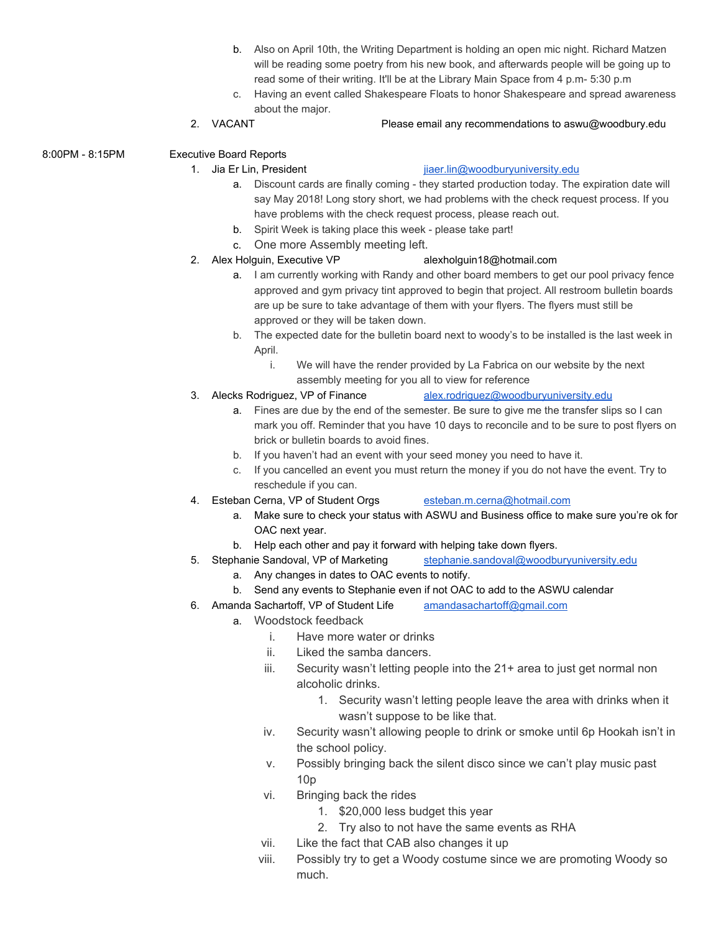- b. Also on April 10th, the Writing Department is holding an open mic night. Richard Matzen will be reading some poetry from his new book, and afterwards people will be going up to read some of their writing. It'll be at the Library Main Space from 4 p.m- 5:30 p.m
- c. Having an event called Shakespeare Floats to honor Shakespeare and spread awareness about the major.

# 2. VACANT Please email any recommendations to aswu@woodbury.edu

8:00PM - 8:15PM Executive Board Reports

### 1. Jia Er Lin, President in the state is a present in the interest in the state of the interest of the state of the interest of the interest of the interest of the interest of the interest of the interest of the interest o

- a. Discount cards are finally coming they started production today. The expiration date will say May 2018! Long story short, we had problems with the check request process. If you have problems with the check request process, please reach out.
- b. Spirit Week is taking place this week please take part!
- c. One more Assembly meeting left.
- 2. Alex Holguin, Executive VP alexholguin18@hotmail.com

- a. I am currently working with Randy and other board members to get our pool privacy fence approved and gym privacy tint approved to begin that project. All restroom bulletin boards are up be sure to take advantage of them with your flyers. The flyers must still be approved or they will be taken down.
- b. The expected date for the bulletin board next to woody's to be installed is the last week in April.
	- i. We will have the render provided by La Fabrica on our website by the next assembly meeting for you all to view for reference
- 3. Alecks Rodriguez, VP of Finance [alex.rodriguez@woodburyuniversity.edu](mailto:alex.rodriguez@woodburyuniversity.edu)
	- a. Fines are due by the end of the semester. Be sure to give me the transfer slips so I can mark you off. Reminder that you have 10 days to reconcile and to be sure to post flyers on brick or bulletin boards to avoid fines.
	- b. If you haven't had an event with your seed money you need to have it.
	- c. If you cancelled an event you must return the money if you do not have the event. Try to reschedule if you can.
- 4. Esteban Cerna, VP of Student Orgs [esteban.m.cerna@hotmail.com](mailto:esteban.m.cerna@hotmail.com)
	- a. Make sure to check your status with ASWU and Business office to make sure you're ok for OAC next year.
	- b. Help each other and pay it forward with helping take down flyers.
- 5. Stephanie Sandoval, VP of Marketing [stephanie.sandoval@woodburyuniversity.edu](mailto:stephanie.sandoval@woodburyuniversity.edu)
	- a. Any changes in dates to OAC events to notify.
	- b. Send any events to Stephanie even if not OAC to add to the ASWU calendar
- 6. Amanda Sachartoff, VP of Student Life [amandasachartoff@gmail.com](mailto:amandasachartoff@gmail.com)
	- a. Woodstock feedback
		- i. Have more water or drinks
		- ii. Liked the samba dancers.
		- iii. Security wasn't letting people into the 21+ area to just get normal non alcoholic drinks.
			- 1. Security wasn't letting people leave the area with drinks when it wasn't suppose to be like that.
		- iv. Security wasn't allowing people to drink or smoke until 6p Hookah isn't in the school policy.
		- v. Possibly bringing back the silent disco since we can't play music past 10p
		- vi. Bringing back the rides
			- 1. \$20,000 less budget this year
			- 2. Try also to not have the same events as RHA
		- vii. Like the fact that CAB also changes it up
		- viii. Possibly try to get a Woody costume since we are promoting Woody so much.